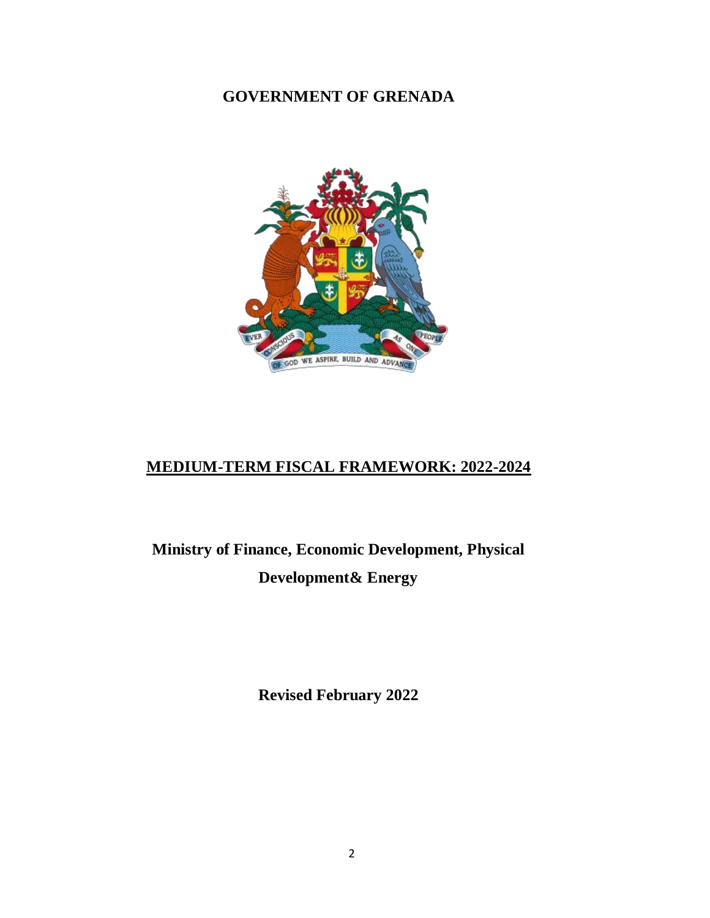# **GOVERNMENT OF GRENADA**



# **MEDIUM-TERM FISCAL FRAMEWORK: 2022-2024**

**Ministry of Finance, Economic Development, Physical Development& Energy**

**Revised February 2022**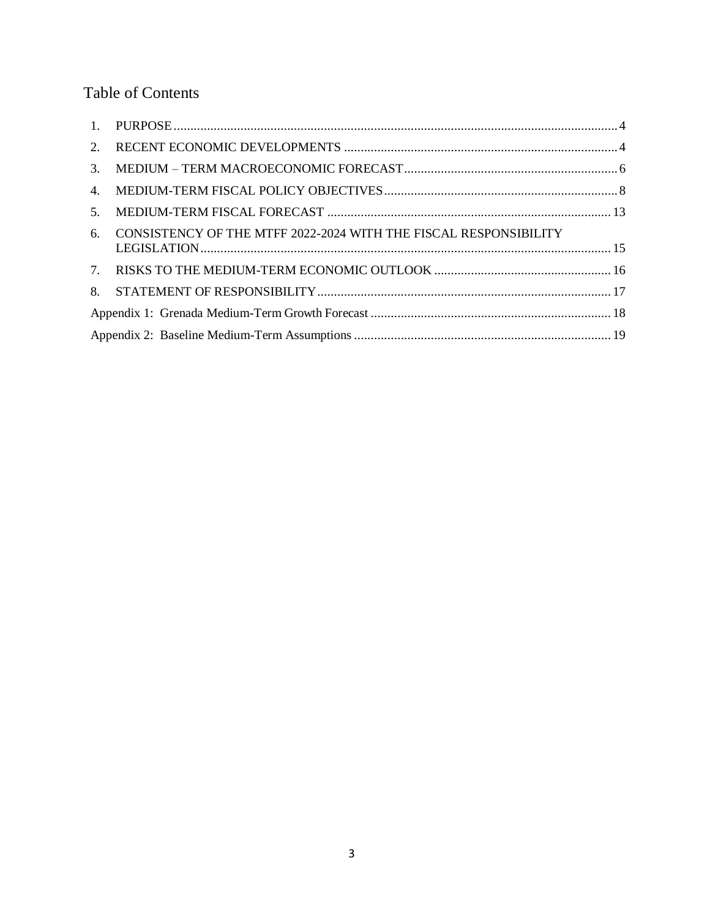# Table of Contents

| 2. |                                                                  |  |  |  |  |  |  |
|----|------------------------------------------------------------------|--|--|--|--|--|--|
| 3. |                                                                  |  |  |  |  |  |  |
| 4. |                                                                  |  |  |  |  |  |  |
| 5. |                                                                  |  |  |  |  |  |  |
| 6. | CONSISTENCY OF THE MTFF 2022-2024 WITH THE FISCAL RESPONSIBILITY |  |  |  |  |  |  |
|    |                                                                  |  |  |  |  |  |  |
| 8. |                                                                  |  |  |  |  |  |  |
|    |                                                                  |  |  |  |  |  |  |
|    |                                                                  |  |  |  |  |  |  |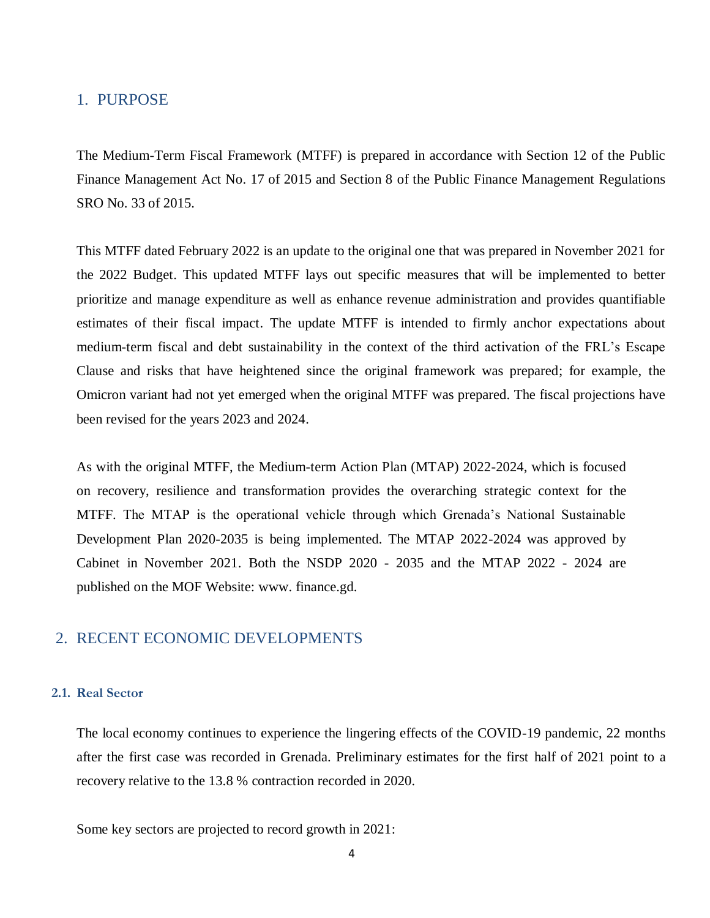## <span id="page-2-0"></span>1. PURPOSE

The Medium-Term Fiscal Framework (MTFF) is prepared in accordance with Section 12 of the Public Finance Management Act No. 17 of 2015 and Section 8 of the Public Finance Management Regulations SRO No. 33 of 2015.

This MTFF dated February 2022 is an update to the original one that was prepared in November 2021 for the 2022 Budget. This updated MTFF lays out specific measures that will be implemented to better prioritize and manage expenditure as well as enhance revenue administration and provides quantifiable estimates of their fiscal impact. The update MTFF is intended to firmly anchor expectations about medium-term fiscal and debt sustainability in the context of the third activation of the FRL's Escape Clause and risks that have heightened since the original framework was prepared; for example, the Omicron variant had not yet emerged when the original MTFF was prepared. The fiscal projections have been revised for the years 2023 and 2024.

As with the original MTFF, the Medium-term Action Plan (MTAP) 2022-2024, which is focused on recovery, resilience and transformation provides the overarching strategic context for the MTFF. The MTAP is the operational vehicle through which Grenada's National Sustainable Development Plan 2020-2035 is being implemented. The MTAP 2022-2024 was approved by Cabinet in November 2021. Both the NSDP 2020 - 2035 and the MTAP 2022 - 2024 are published on the MOF Website: www. finance.gd.

## <span id="page-2-1"></span>2. RECENT ECONOMIC DEVELOPMENTS

## **2.1. Real Sector**

The local economy continues to experience the lingering effects of the COVID-19 pandemic, 22 months after the first case was recorded in Grenada. Preliminary estimates for the first half of 2021 point to a recovery relative to the 13.8 % contraction recorded in 2020.

Some key sectors are projected to record growth in 2021: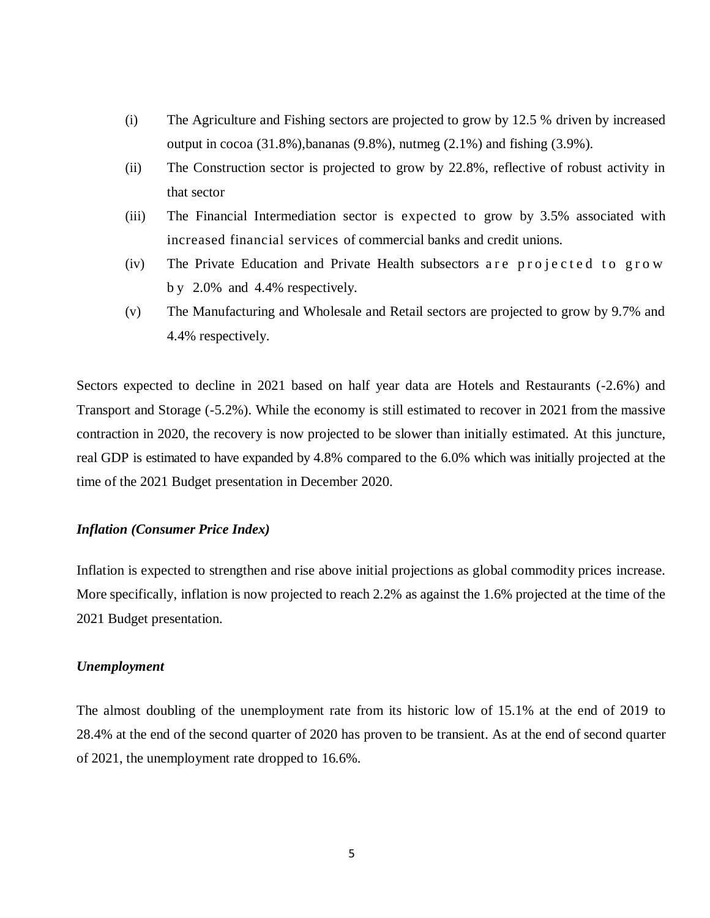- (i) The Agriculture and Fishing sectors are projected to grow by 12.5 % driven by increased output in cocoa  $(31.8\%)$ , bananas  $(9.8\%)$ , nutmeg  $(2.1\%)$  and fishing  $(3.9\%)$ .
- (ii) The Construction sector is projected to grow by 22.8%, reflective of robust activity in that sector
- (iii) The Financial Intermediation sector is expected to grow by 3.5% associated with increased financial services of commercial banks and credit unions.
- $(iv)$  The Private Education and Private Health subsectors a reprojected to grow b y 2.0% and 4.4% respectively.
- (v) The Manufacturing and Wholesale and Retail sectors are projected to grow by 9.7% and 4.4% respectively.

Sectors expected to decline in 2021 based on half year data are Hotels and Restaurants (-2.6%) and Transport and Storage (-5.2%). While the economy is still estimated to recover in 2021 from the massive contraction in 2020, the recovery is now projected to be slower than initially estimated. At this juncture, real GDP is estimated to have expanded by 4.8% compared to the 6.0% which was initially projected at the time of the 2021 Budget presentation in December 2020.

## *Inflation (Consumer Price Index)*

Inflation is expected to strengthen and rise above initial projections as global commodity prices increase. More specifically, inflation is now projected to reach 2.2% as against the 1.6% projected at the time of the 2021 Budget presentation.

#### *Unemployment*

The almost doubling of the unemployment rate from its historic low of 15.1% at the end of 2019 to 28.4% at the end of the second quarter of 2020 has proven to be transient. As at the end of second quarter of 2021, the unemployment rate dropped to 16.6%.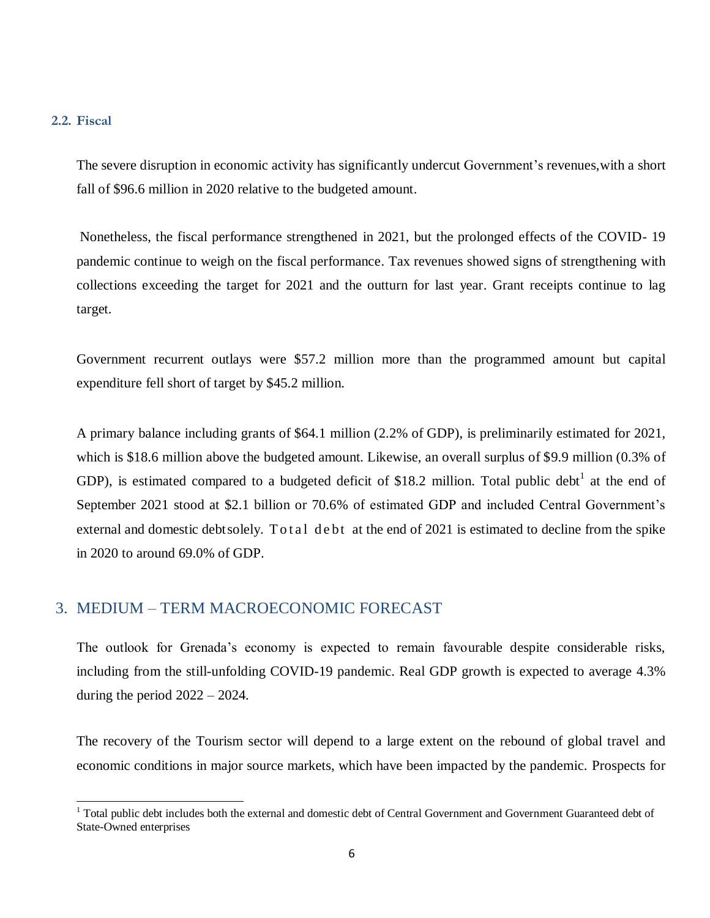#### **2.2. Fiscal**

l

The severe disruption in economic activity has significantly undercut Government's revenues,with a short fall of \$96.6 million in 2020 relative to the budgeted amount.

Nonetheless, the fiscal performance strengthened in 2021, but the prolonged effects of the COVID- 19 pandemic continue to weigh on the fiscal performance. Tax revenues showed signs of strengthening with collections exceeding the target for 2021 and the outturn for last year. Grant receipts continue to lag target.

Government recurrent outlays were \$57.2 million more than the programmed amount but capital expenditure fell short of target by \$45.2 million.

A primary balance including grants of \$64.1 million (2.2% of GDP), is preliminarily estimated for 2021, which is \$18.6 million above the budgeted amount. Likewise, an overall surplus of \$9.9 million (0.3% of GDP), is estimated compared to a budgeted deficit of \$18.2 million. Total public debt<sup>1</sup> at the end of September 2021 stood at \$2.1 billion or 70.6% of estimated GDP and included Central Government's external and domestic debt solely. Total debt at the end of 2021 is estimated to decline from the spike in 2020 to around 69.0% of GDP.

## <span id="page-4-0"></span>3. MEDIUM – TERM MACROECONOMIC FORECAST

The outlook for Grenada's economy is expected to remain favourable despite considerable risks, including from the still-unfolding COVID-19 pandemic. Real GDP growth is expected to average 4.3% during the period 2022 – 2024.

The recovery of the Tourism sector will depend to a large extent on the rebound of global travel and economic conditions in major source markets, which have been impacted by the pandemic. Prospects for

 $1$  Total public debt includes both the external and domestic debt of Central Government and Government Guaranteed debt of State-Owned enterprises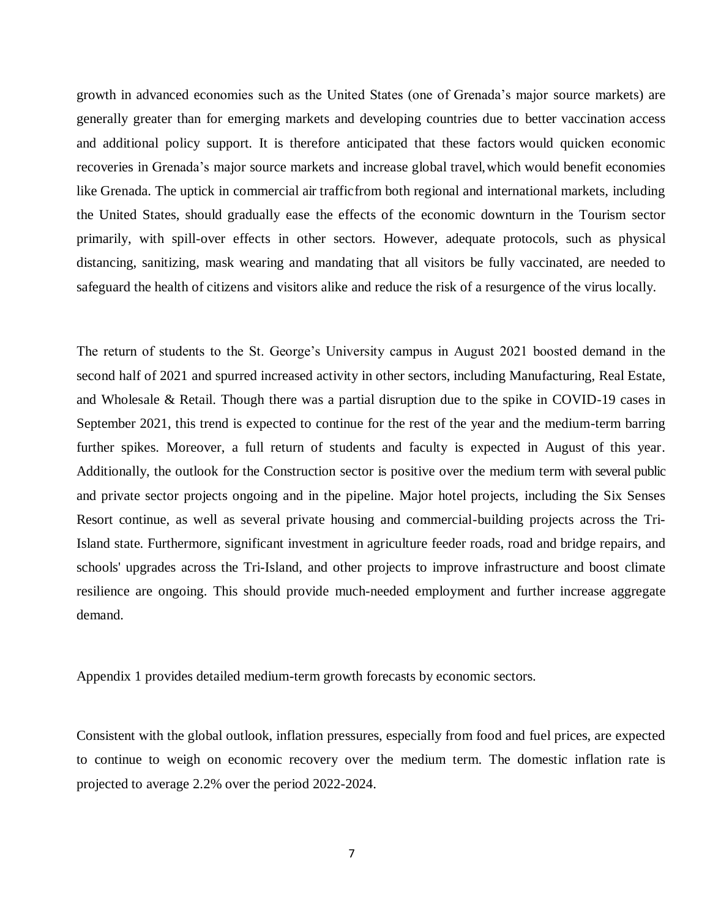growth in advanced economies such as the United States (one of Grenada's major source markets) are generally greater than for emerging markets and developing countries due to better vaccination access and additional policy support. It is therefore anticipated that these factors would quicken economic recoveries in Grenada's major source markets and increase global travel,which would benefit economies like Grenada. The uptick in commercial air trafficfrom both regional and international markets, including the United States, should gradually ease the effects of the economic downturn in the Tourism sector primarily, with spill-over effects in other sectors. However, adequate protocols, such as physical distancing, sanitizing, mask wearing and mandating that all visitors be fully vaccinated, are needed to safeguard the health of citizens and visitors alike and reduce the risk of a resurgence of the virus locally.

The return of students to the St. George's University campus in August 2021 boosted demand in the second half of 2021 and spurred increased activity in other sectors, including Manufacturing, Real Estate, and Wholesale & Retail. Though there was a partial disruption due to the spike in COVID-19 cases in September 2021, this trend is expected to continue for the rest of the year and the medium-term barring further spikes. Moreover, a full return of students and faculty is expected in August of this year. Additionally, the outlook for the Construction sector is positive over the medium term with several public and private sector projects ongoing and in the pipeline. Major hotel projects, including the Six Senses Resort continue, as well as several private housing and commercial-building projects across the Tri-Island state. Furthermore, significant investment in agriculture feeder roads, road and bridge repairs, and schools' upgrades across the Tri-Island, and other projects to improve infrastructure and boost climate resilience are ongoing. This should provide much-needed employment and further increase aggregate demand.

Appendix 1 provides detailed medium-term growth forecasts by economic sectors.

Consistent with the global outlook, inflation pressures, especially from food and fuel prices, are expected to continue to weigh on economic recovery over the medium term. The domestic inflation rate is projected to average 2.2% over the period 2022-2024.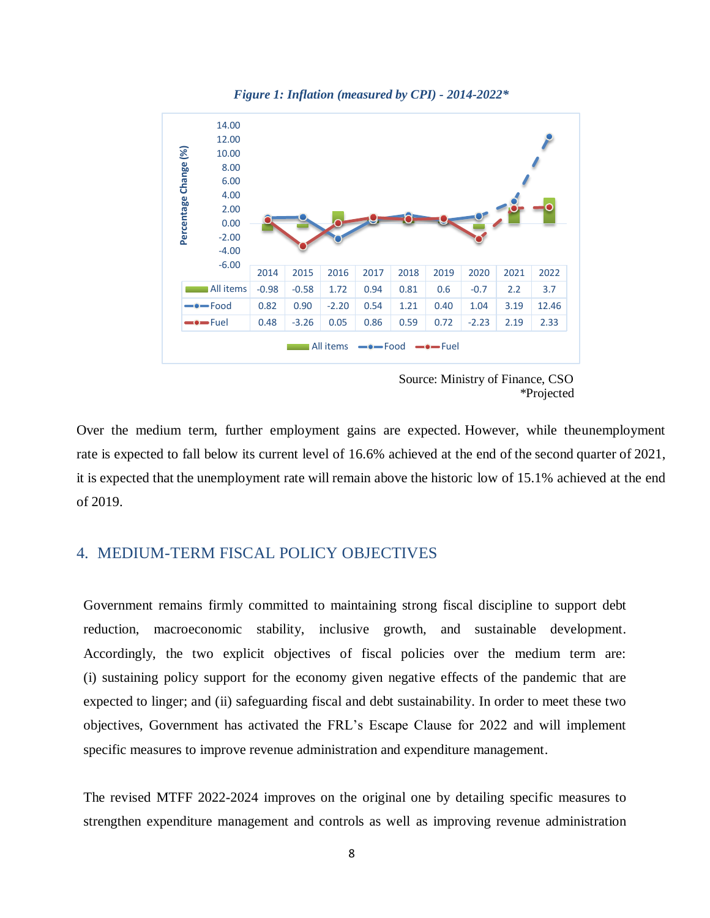

*Figure 1: Inflation (measured by CPI) - 2014-2022\**

 Source: Ministry of Finance, CSO \*Projected

Over the medium term, further employment gains are expected. However, while theunemployment rate is expected to fall below its current level of 16.6% achieved at the end of the second quarter of 2021, it is expected that the unemployment rate will remain above the historic low of 15.1% achieved at the end of 2019.

## <span id="page-6-0"></span>4. MEDIUM-TERM FISCAL POLICY OBJECTIVES

Government remains firmly committed to maintaining strong fiscal discipline to support debt reduction, macroeconomic stability, inclusive growth, and sustainable development. Accordingly, the two explicit objectives of fiscal policies over the medium term are: (i) sustaining policy support for the economy given negative effects of the pandemic that are expected to linger; and (ii) safeguarding fiscal and debt sustainability. In order to meet these two objectives, Government has activated the FRL's Escape Clause for 2022 and will implement specific measures to improve revenue administration and expenditure management.

The revised MTFF 2022-2024 improves on the original one by detailing specific measures to strengthen expenditure management and controls as well as improving revenue administration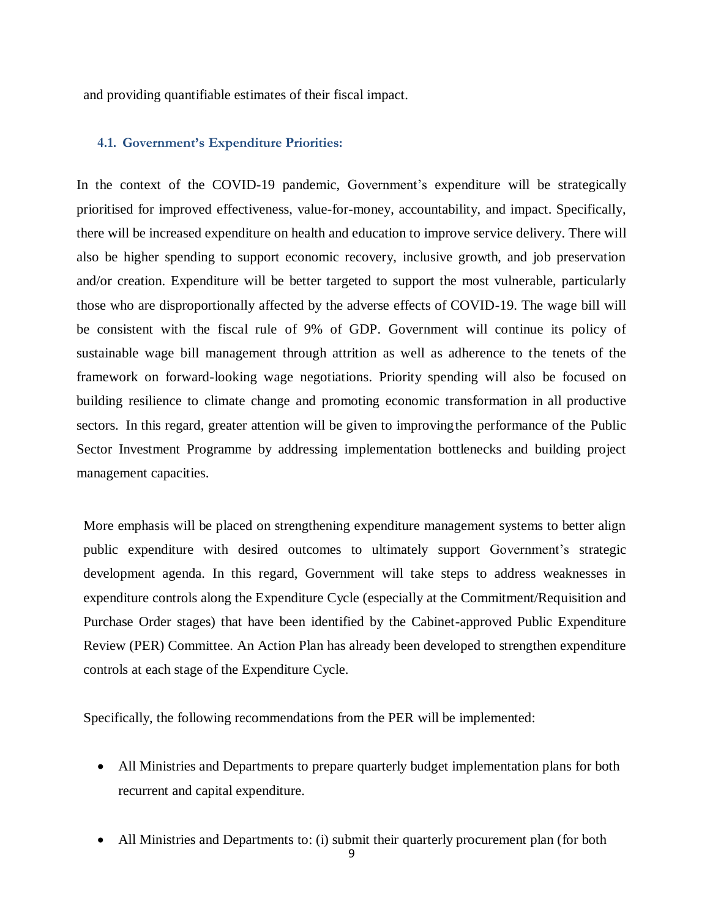and providing quantifiable estimates of their fiscal impact.

#### **4.1. Government's Expenditure Priorities:**

In the context of the COVID-19 pandemic, Government's expenditure will be strategically prioritised for improved effectiveness, value-for-money, accountability, and impact. Specifically, there will be increased expenditure on health and education to improve service delivery. There will also be higher spending to support economic recovery, inclusive growth, and job preservation and/or creation. Expenditure will be better targeted to support the most vulnerable, particularly those who are disproportionally affected by the adverse effects of COVID-19. The wage bill will be consistent with the fiscal rule of 9% of GDP. Government will continue its policy of sustainable wage bill management through attrition as well as adherence to the tenets of the framework on forward-looking wage negotiations. Priority spending will also be focused on building resilience to climate change and promoting economic transformation in all productive sectors. In this regard, greater attention will be given to improvingthe performance of the Public Sector Investment Programme by addressing implementation bottlenecks and building project management capacities.

More emphasis will be placed on strengthening expenditure management systems to better align public expenditure with desired outcomes to ultimately support Government's strategic development agenda. In this regard, Government will take steps to address weaknesses in expenditure controls along the Expenditure Cycle (especially at the Commitment/Requisition and Purchase Order stages) that have been identified by the Cabinet-approved Public Expenditure Review (PER) Committee. An Action Plan has already been developed to strengthen expenditure controls at each stage of the Expenditure Cycle.

Specifically, the following recommendations from the PER will be implemented:

- All Ministries and Departments to prepare quarterly budget implementation plans for both recurrent and capital expenditure.
- All Ministries and Departments to: (i) submit their quarterly procurement plan (for both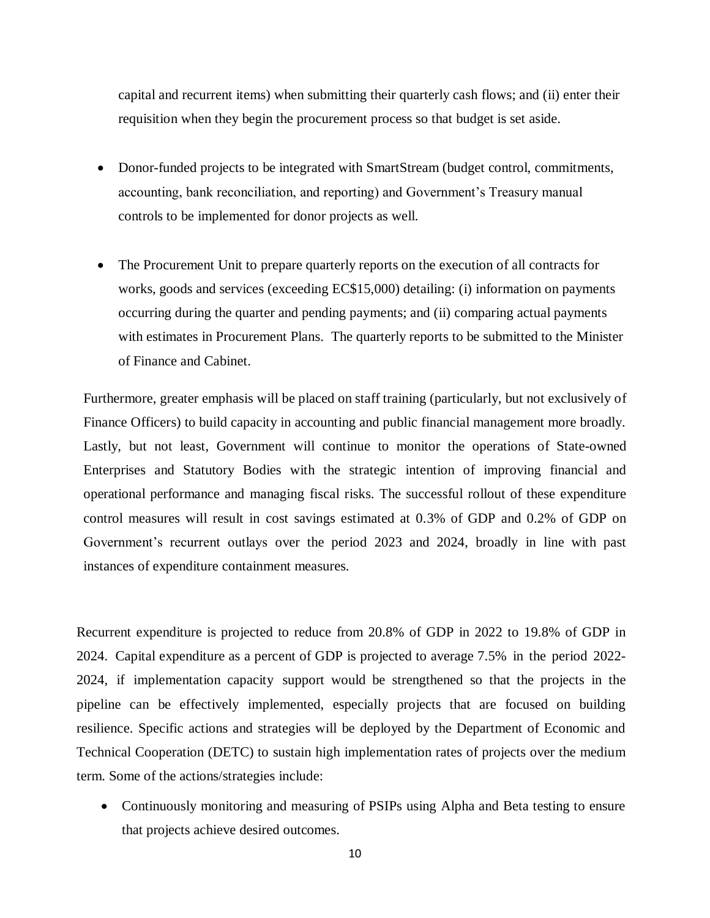capital and recurrent items) when submitting their quarterly cash flows; and (ii) enter their requisition when they begin the procurement process so that budget is set aside.

- Donor-funded projects to be integrated with SmartStream (budget control, commitments, accounting, bank reconciliation, and reporting) and Government's Treasury manual controls to be implemented for donor projects as well.
- The Procurement Unit to prepare quarterly reports on the execution of all contracts for works, goods and services (exceeding EC\$15,000) detailing: (i) information on payments occurring during the quarter and pending payments; and (ii) comparing actual payments with estimates in Procurement Plans. The quarterly reports to be submitted to the Minister of Finance and Cabinet.

Furthermore, greater emphasis will be placed on staff training (particularly, but not exclusively of Finance Officers) to build capacity in accounting and public financial management more broadly. Lastly, but not least, Government will continue to monitor the operations of State-owned Enterprises and Statutory Bodies with the strategic intention of improving financial and operational performance and managing fiscal risks. The successful rollout of these expenditure control measures will result in cost savings estimated at 0.3% of GDP and 0.2% of GDP on Government's recurrent outlays over the period 2023 and 2024, broadly in line with past instances of expenditure containment measures.

Recurrent expenditure is projected to reduce from 20.8% of GDP in 2022 to 19.8% of GDP in 2024. Capital expenditure as a percent of GDP is projected to average 7.5% in the period 2022- 2024, if implementation capacity support would be strengthened so that the projects in the pipeline can be effectively implemented, especially projects that are focused on building resilience. Specific actions and strategies will be deployed by the Department of Economic and Technical Cooperation (DETC) to sustain high implementation rates of projects over the medium term. Some of the actions/strategies include:

• Continuously monitoring and measuring of PSIPs using Alpha and Beta testing to ensure that projects achieve desired outcomes.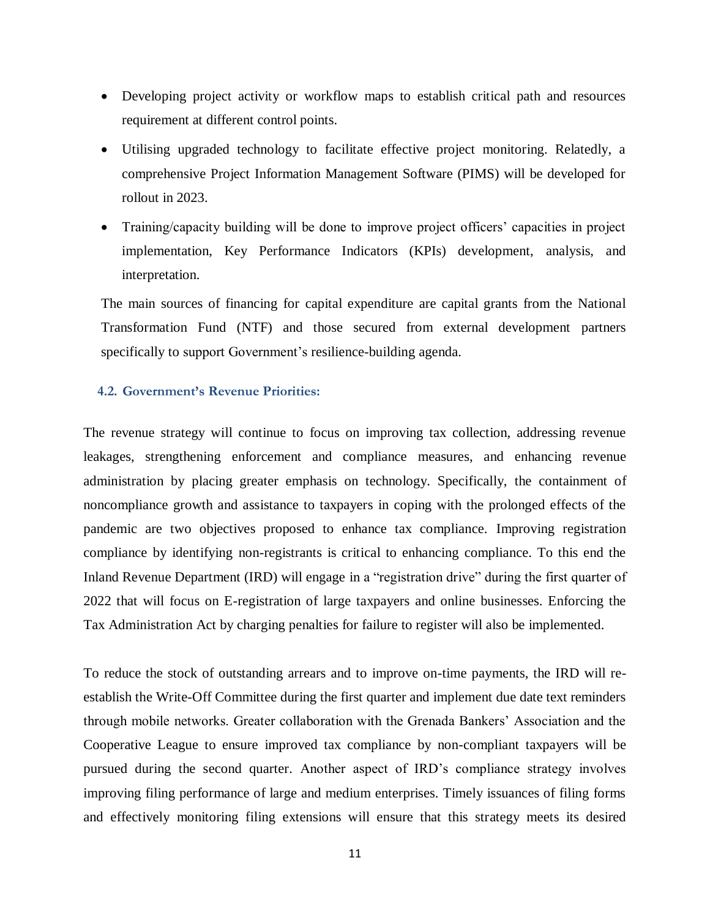- Developing project activity or workflow maps to establish critical path and resources requirement at different control points.
- Utilising upgraded technology to facilitate effective project monitoring. Relatedly, a comprehensive Project Information Management Software (PIMS) will be developed for rollout in 2023.
- Training/capacity building will be done to improve project officers' capacities in project implementation, Key Performance Indicators (KPIs) development, analysis, and interpretation.

The main sources of financing for capital expenditure are capital grants from the National Transformation Fund (NTF) and those secured from external development partners specifically to support Government's resilience-building agenda.

## **4.2. Government's Revenue Priorities:**

The revenue strategy will continue to focus on improving tax collection, addressing revenue leakages, strengthening enforcement and compliance measures, and enhancing revenue administration by placing greater emphasis on technology. Specifically, the containment of noncompliance growth and assistance to taxpayers in coping with the prolonged effects of the pandemic are two objectives proposed to enhance tax compliance. Improving registration compliance by identifying non-registrants is critical to enhancing compliance. To this end the Inland Revenue Department (IRD) will engage in a "registration drive" during the first quarter of 2022 that will focus on E-registration of large taxpayers and online businesses. Enforcing the Tax Administration Act by charging penalties for failure to register will also be implemented.

To reduce the stock of outstanding arrears and to improve on-time payments, the IRD will reestablish the Write-Off Committee during the first quarter and implement due date text reminders through mobile networks. Greater collaboration with the Grenada Bankers' Association and the Cooperative League to ensure improved tax compliance by non-compliant taxpayers will be pursued during the second quarter. Another aspect of IRD's compliance strategy involves improving filing performance of large and medium enterprises. Timely issuances of filing forms and effectively monitoring filing extensions will ensure that this strategy meets its desired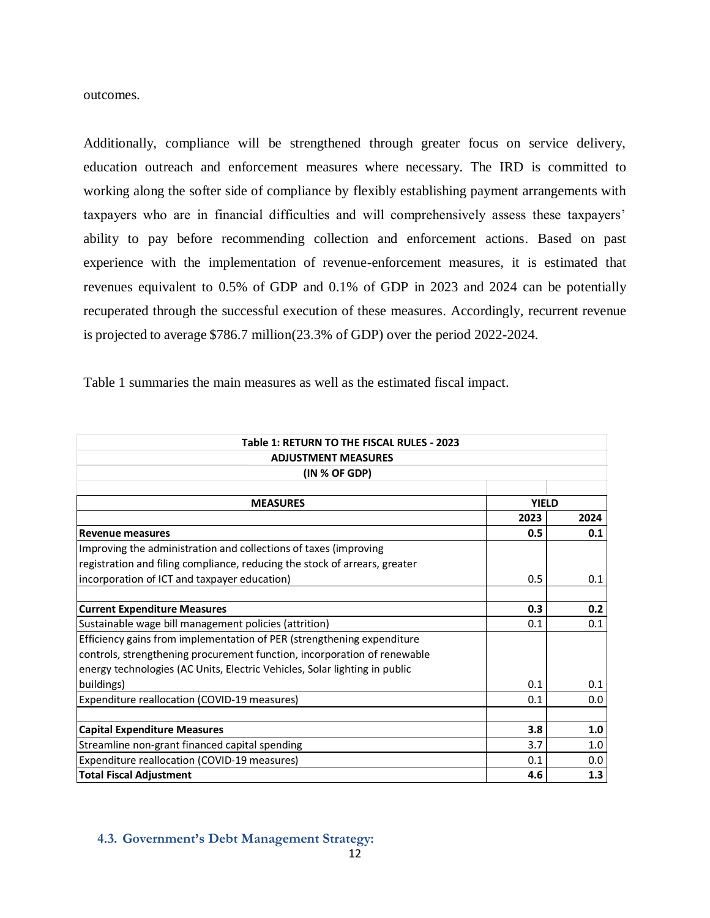outcomes.

Additionally, compliance will be strengthened through greater focus on service delivery, education outreach and enforcement measures where necessary. The IRD is committed to working along the softer side of compliance by flexibly establishing payment arrangements with taxpayers who are in financial difficulties and will comprehensively assess these taxpayers' ability to pay before recommending collection and enforcement actions. Based on past experience with the implementation of revenue-enforcement measures, it is estimated that revenues equivalent to 0.5% of GDP and 0.1% of GDP in 2023 and 2024 can be potentially recuperated through the successful execution of these measures. Accordingly, recurrent revenue is projected to average \$786.7 million(23.3% of GDP) over the period 2022-2024.

Table 1 summaries the main measures as well as the estimated fiscal impact.

| Table 1: RETURN TO THE FISCAL RULES - 2023                                 |              |      |  |  |  |  |  |
|----------------------------------------------------------------------------|--------------|------|--|--|--|--|--|
| <b>ADJUSTMENT MEASURES</b>                                                 |              |      |  |  |  |  |  |
| (IN % OF GDP)                                                              |              |      |  |  |  |  |  |
|                                                                            |              |      |  |  |  |  |  |
| <b>MEASURES</b>                                                            | <b>YIELD</b> |      |  |  |  |  |  |
|                                                                            | 2023         | 2024 |  |  |  |  |  |
| <b>Revenue measures</b>                                                    | 0.5          | 0.1  |  |  |  |  |  |
| Improving the administration and collections of taxes (improving           |              |      |  |  |  |  |  |
| registration and filing compliance, reducing the stock of arrears, greater |              |      |  |  |  |  |  |
| incorporation of ICT and taxpayer education)                               | 0.5          | 0.1  |  |  |  |  |  |
|                                                                            |              |      |  |  |  |  |  |
| <b>Current Expenditure Measures</b>                                        | 0.3          | 0.2  |  |  |  |  |  |
| Sustainable wage bill management policies (attrition)                      | 0.1          | 0.1  |  |  |  |  |  |
| Efficiency gains from implementation of PER (strengthening expenditure     |              |      |  |  |  |  |  |
| controls, strengthening procurement function, incorporation of renewable   |              |      |  |  |  |  |  |
| energy technologies (AC Units, Electric Vehicles, Solar lighting in public |              |      |  |  |  |  |  |
| buildings)                                                                 | 0.1          | 0.1  |  |  |  |  |  |
| Expenditure reallocation (COVID-19 measures)                               | 0.1          | 0.0  |  |  |  |  |  |
|                                                                            |              |      |  |  |  |  |  |
| <b>Capital Expenditure Measures</b>                                        | 3.8          | 1.0  |  |  |  |  |  |
| Streamline non-grant financed capital spending                             | 3.7          | 1.0  |  |  |  |  |  |
| Expenditure reallocation (COVID-19 measures)                               | 0.1          | 0.0  |  |  |  |  |  |
| <b>Total Fiscal Adjustment</b>                                             | 4.6          | 1.3  |  |  |  |  |  |

## **4.3. Government's Debt Management Strategy:**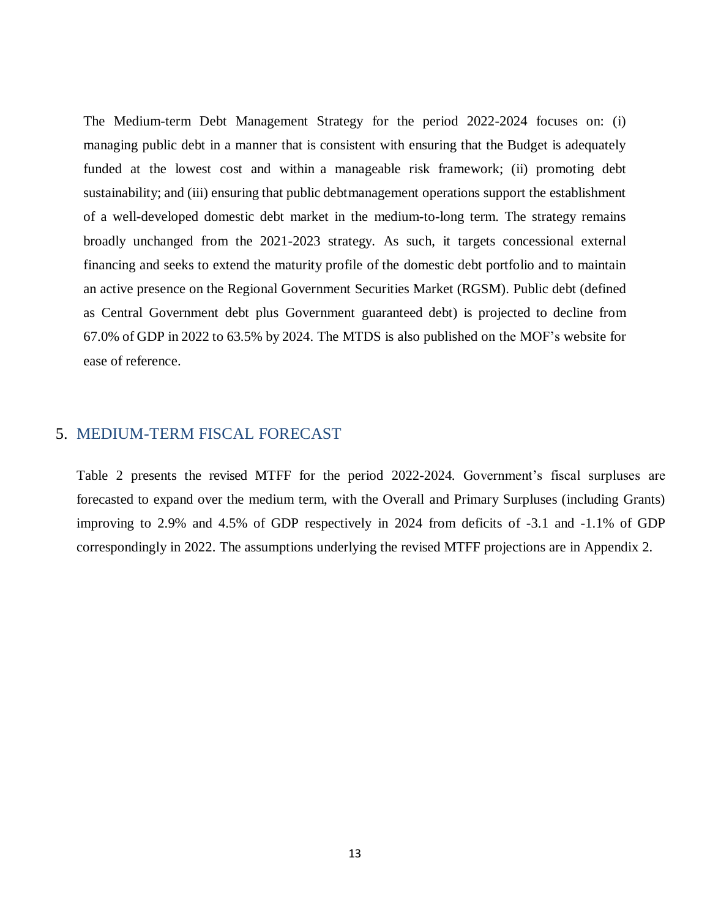The Medium-term Debt Management Strategy for the period 2022-2024 focuses on: (i) managing public debt in a manner that is consistent with ensuring that the Budget is adequately funded at the lowest cost and within a manageable risk framework; (ii) promoting debt sustainability; and (iii) ensuring that public debtmanagement operations support the establishment of a well-developed domestic debt market in the medium-to-long term. The strategy remains broadly unchanged from the 2021-2023 strategy. As such, it targets concessional external financing and seeks to extend the maturity profile of the domestic debt portfolio and to maintain an active presence on the Regional Government Securities Market (RGSM). Public debt (defined as Central Government debt plus Government guaranteed debt) is projected to decline from 67.0% of GDP in 2022 to 63.5% by 2024. The MTDS is also published on the MOF's website for ease of reference.

## <span id="page-11-0"></span>5. MEDIUM-TERM FISCAL FORECAST

Table 2 presents the revised MTFF for the period 2022-2024. Government's fiscal surpluses are forecasted to expand over the medium term, with the Overall and Primary Surpluses (including Grants) improving to 2.9% and 4.5% of GDP respectively in 2024 from deficits of -3.1 and -1.1% of GDP correspondingly in 2022. The assumptions underlying the revised MTFF projections are in Appendix 2.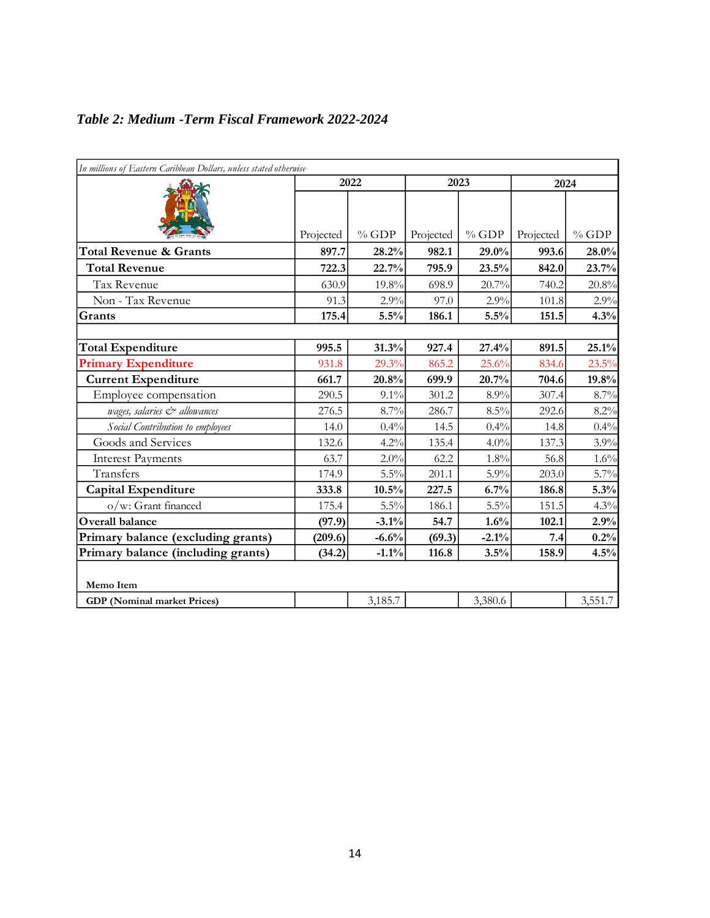|  |  | Table 2: Medium - Term Fiscal Framework 2022-2024 |  |
|--|--|---------------------------------------------------|--|
|  |  |                                                   |  |

| In millions of Eastern Caribbean Dollars, unless stated otherwise |           |         |           |         |           |         |
|-------------------------------------------------------------------|-----------|---------|-----------|---------|-----------|---------|
|                                                                   |           | 2022    |           | 2023    |           | 2024    |
|                                                                   | Projected | $%$ GDP | Projected | $%$ GDP | Projected | $%$ GDP |
| <b>Total Revenue &amp; Grants</b>                                 | 897.7     | 28.2%   | 982.1     | 29.0%   | 993.6     | 28.0%   |
| <b>Total Revenue</b>                                              | 722.3     | 22.7%   | 795.9     | 23.5%   | 842.0     | 23.7%   |
| Tax Revenue                                                       | 630.9     | 19.8%   | 698.9     | 20.7%   | 740.2     | 20.8%   |
| Non - Tax Revenue                                                 | 91.3      | 2.9%    | 97.0      | 2.9%    | 101.8     | 2.9%    |
| Grants                                                            | 175.4     | 5.5%    | 186.1     | 5.5%    | 151.5     | 4.3%    |
|                                                                   |           |         |           |         |           |         |
| <b>Total Expenditure</b>                                          | 995.5     | 31.3%   | 927.4     | 27.4%   | 891.5     | 25.1%   |
| <b>Primary Expenditure</b>                                        | 931.8     | 29.3%   | 865.2     | 25.6%   | 834.6     | 23.5%   |
| <b>Current Expenditure</b>                                        | 661.7     | 20.8%   | 699.9     | 20.7%   | 704.6     | 19.8%   |
| Employee compensation                                             | 290.5     | $9.1\%$ | 301.2     | 8.9%    | 307.4     | 8.7%    |
| wages, salaries & allowances                                      | 276.5     | 8.7%    | 286.7     | $8.5\%$ | 292.6     | 8.2%    |
| Social Contribution to employees                                  | 14.0      | 0.4%    | 14.5      | 0.4%    | 14.8      | 0.4%    |
| Goods and Services                                                | 132.6     | 4.2%    | 135.4     | 4.0%    | 137.3     | 3.9%    |
| <b>Interest Payments</b>                                          | 63.7      | 2.0%    | 62.2      | 1.8%    | 56.8      | 1.6%    |
| Transfers                                                         | 174.9     | 5.5%    | 201.1     | $5.9\%$ | 203.0     | 5.7%    |
| <b>Capital Expenditure</b>                                        | 333.8     | 10.5%   | 227.5     | 6.7%    | 186.8     | 5.3%    |
| o/w: Grant financed                                               | 175.4     | 5.5%    | 186.1     | $5.5\%$ | 151.5     | 4.3%    |
| Overall balance                                                   | (97.9)    | $-3.1%$ | 54.7      | 1.6%    | 102.1     | 2.9%    |
| Primary balance (excluding grants)                                | (209.6)   | $-6.6%$ | (69.3)    | $-2.1%$ | 7.4       | 0.2%    |
| Primary balance (including grants)                                | (34.2)    | $-1.1%$ | 116.8     | 3.5%    | 158.9     | 4.5%    |
| Memo Item                                                         |           |         |           |         |           |         |
| <b>GDP</b> (Nominal market Prices)                                |           | 3,185.7 |           | 3,380.6 |           | 3,551.7 |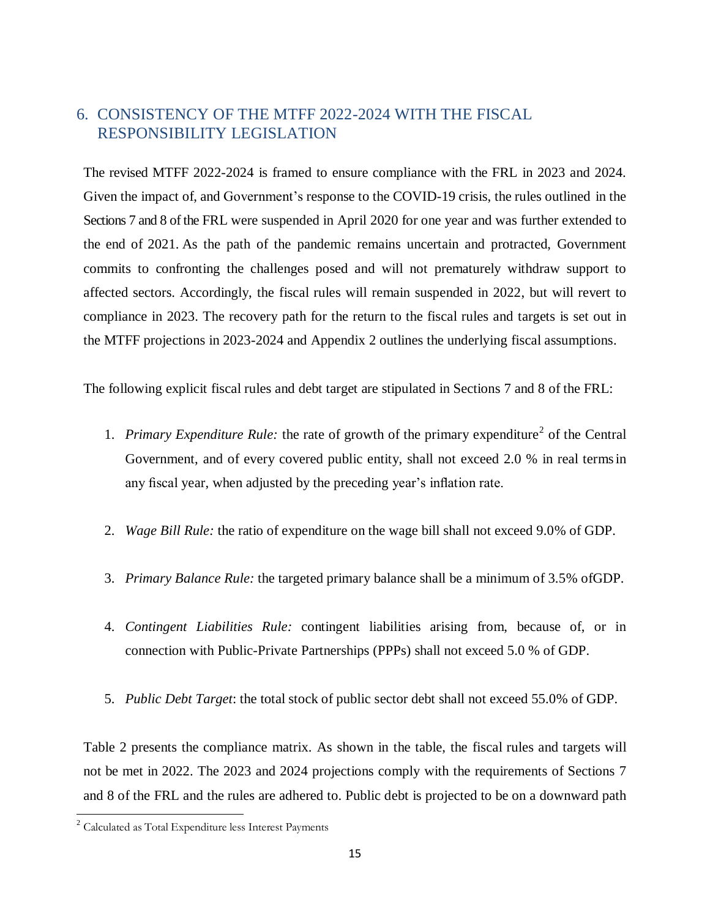# <span id="page-13-0"></span>6. CONSISTENCY OF THE MTFF 2022-2024 WITH THE FISCAL RESPONSIBILITY LEGISLATION

The revised MTFF 2022-2024 is framed to ensure compliance with the FRL in 2023 and 2024. Given the impact of, and Government's response to the COVID-19 crisis, the rules outlined in the Sections 7 and 8 of the FRL were suspended in April 2020 for one year and was further extended to the end of 2021. As the path of the pandemic remains uncertain and protracted, Government commits to confronting the challenges posed and will not prematurely withdraw support to affected sectors. Accordingly, the fiscal rules will remain suspended in 2022, but will revert to compliance in 2023. The recovery path for the return to the fiscal rules and targets is set out in the MTFF projections in 2023-2024 and Appendix 2 outlines the underlying fiscal assumptions.

The following explicit fiscal rules and debt target are stipulated in Sections 7 and 8 of the FRL:

- 1. Primary Expenditure Rule: the rate of growth of the primary expenditure<sup>2</sup> of the Central Government, and of every covered public entity, shall not exceed 2.0 % in real termsin any fiscal year, when adjusted by the preceding year's inflation rate.
- 2. *Wage Bill Rule:* the ratio of expenditure on the wage bill shall not exceed 9.0% of GDP.
- 3. *Primary Balance Rule:* the targeted primary balance shall be a minimum of 3.5% ofGDP.
- 4. *Contingent Liabilities Rule:* contingent liabilities arising from, because of, or in connection with Public-Private Partnerships (PPPs) shall not exceed 5.0 % of GDP.
- 5. *Public Debt Target*: the total stock of public sector debt shall not exceed 55.0% of GDP.

Table 2 presents the compliance matrix. As shown in the table, the fiscal rules and targets will not be met in 2022. The 2023 and 2024 projections comply with the requirements of Sections 7 and 8 of the FRL and the rules are adhered to. Public debt is projected to be on a downward path

 $\overline{a}$ 

 $2$  Calculated as Total Expenditure less Interest Payments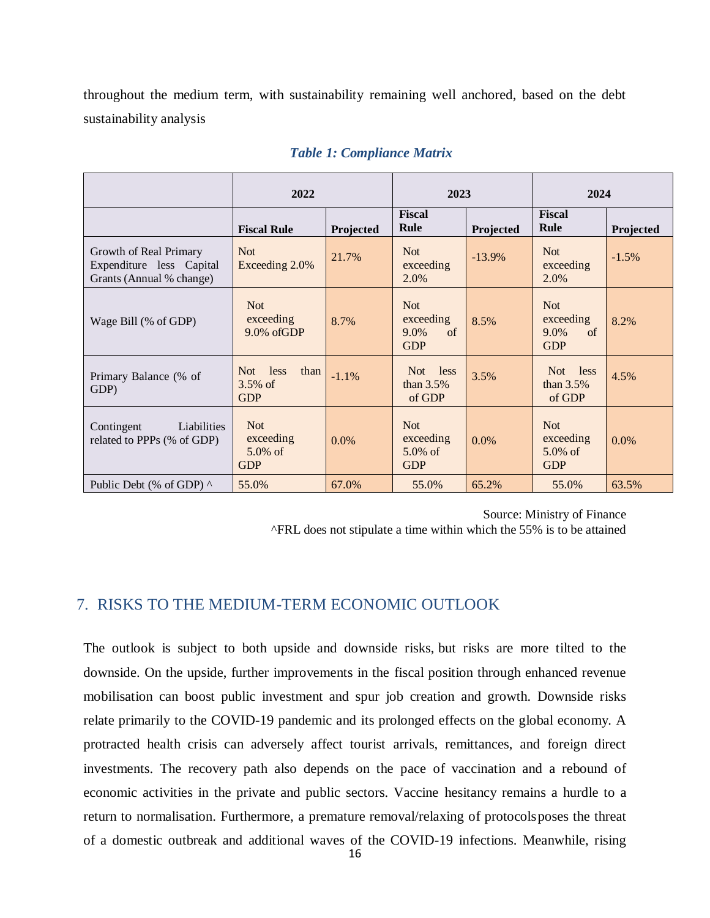throughout the medium term, with sustainability remaining well anchored, based on the debt sustainability analysis

|                                                                                | 2022                                                |           | 2023                                                   |           | 2024                                                   |           |
|--------------------------------------------------------------------------------|-----------------------------------------------------|-----------|--------------------------------------------------------|-----------|--------------------------------------------------------|-----------|
|                                                                                | <b>Fiscal Rule</b>                                  | Projected | <b>Fiscal</b><br><b>Rule</b>                           | Projected | <b>Fiscal</b><br>Rule                                  | Projected |
| Growth of Real Primary<br>Expenditure less Capital<br>Grants (Annual % change) | <b>Not</b><br>Exceeding 2.0%                        | 21.7%     | <b>Not</b><br>exceeding<br>2.0%                        | $-13.9%$  | <b>Not</b><br>exceeding<br>2.0%                        | $-1.5%$   |
| Wage Bill (% of GDP)                                                           | <b>Not</b><br>exceeding<br>$9.0\%$ of GDP           | 8.7%      | <b>Not</b><br>exceeding<br>$9.0\%$<br>of<br><b>GDP</b> | 8.5%      | <b>Not</b><br>exceeding<br>$9.0\%$<br>of<br><b>GDP</b> | 8.2%      |
| Primary Balance (% of<br>GDP)                                                  | less<br>Not.<br>than<br>$3.5\%$ of<br><b>GDP</b>    | $-1.1\%$  | Not less<br>than $3.5\%$<br>of GDP                     | 3.5%      | Not less<br>than $3.5\%$<br>of GDP                     | 4.5%      |
| Liabilities<br>Contingent<br>related to PPPs (% of GDP)                        | <b>Not</b><br>exceeding<br>$5.0\%$ of<br><b>GDP</b> | $0.0\%$   | <b>Not</b><br>exceeding<br>$5.0\%$ of<br><b>GDP</b>    | $0.0\%$   | <b>Not</b><br>exceeding<br>$5.0\%$ of<br><b>GDP</b>    | $0.0\%$   |
| Public Debt (% of GDP) $\wedge$                                                | 55.0%                                               | 67.0%     | 55.0%                                                  | 65.2%     | 55.0%                                                  | 63.5%     |

#### *Table 1: Compliance Matrix*

Source: Ministry of Finance ^FRL does not stipulate a time within which the 55% is to be attained

## <span id="page-14-0"></span>7. RISKS TO THE MEDIUM-TERM ECONOMIC OUTLOOK

The outlook is subject to both upside and downside risks, but risks are more tilted to the downside. On the upside, further improvements in the fiscal position through enhanced revenue mobilisation can boost public investment and spur job creation and growth. Downside risks relate primarily to the COVID-19 pandemic and its prolonged effects on the global economy. A protracted health crisis can adversely affect tourist arrivals, remittances, and foreign direct investments. The recovery path also depends on the pace of vaccination and a rebound of economic activities in the private and public sectors. Vaccine hesitancy remains a hurdle to a return to normalisation. Furthermore, a premature removal/relaxing of protocolsposes the threat of a domestic outbreak and additional waves of the COVID-19 infections. Meanwhile, rising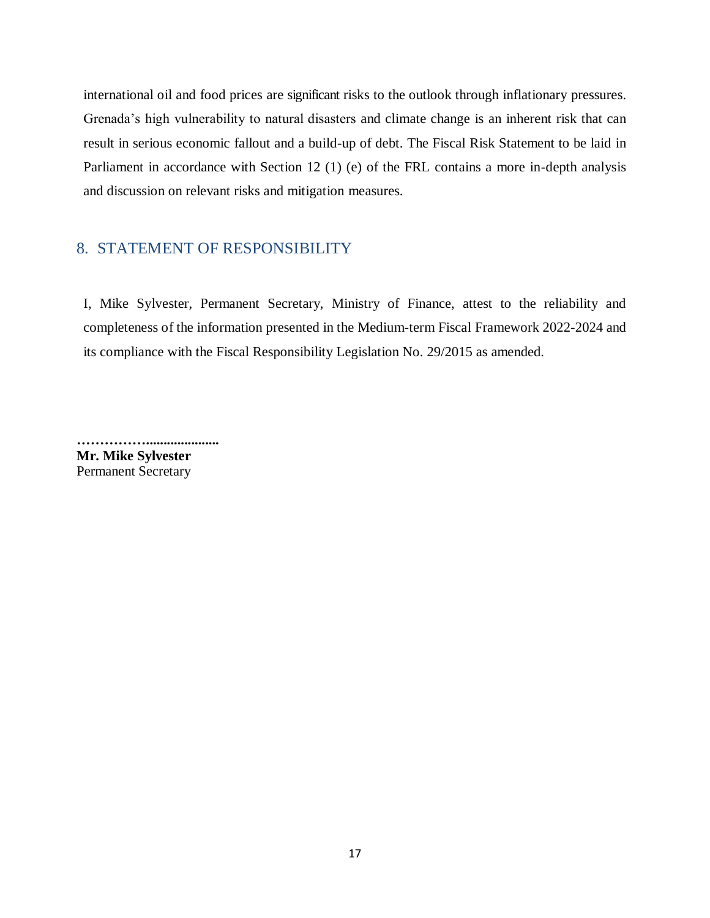international oil and food prices are significant risks to the outlook through inflationary pressures. Grenada's high vulnerability to natural disasters and climate change is an inherent risk that can result in serious economic fallout and a build-up of debt. The Fiscal Risk Statement to be laid in Parliament in accordance with Section 12 (1) (e) of the FRL contains a more in-depth analysis and discussion on relevant risks and mitigation measures.

# <span id="page-15-0"></span>8. STATEMENT OF RESPONSIBILITY

I, Mike Sylvester, Permanent Secretary, Ministry of Finance, attest to the reliability and completeness of the information presented in the Medium-term Fiscal Framework 2022-2024 and its compliance with the Fiscal Responsibility Legislation No. 29/2015 as amended.

**……………..................... Mr. Mike Sylvester** Permanent Secretary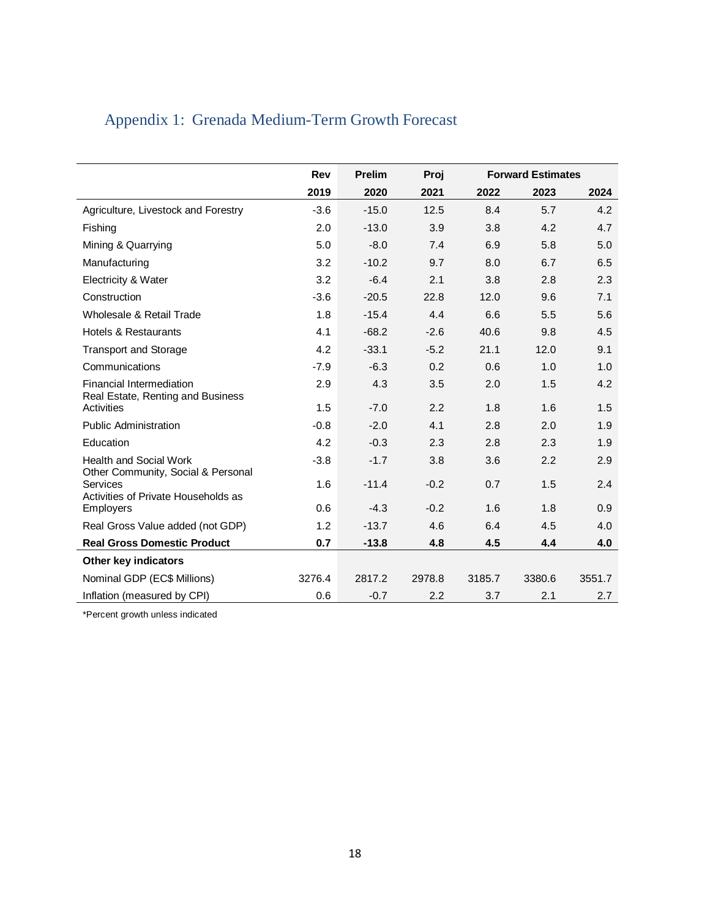<span id="page-16-0"></span>

|  | Appendix 1: Grenada Medium-Term Growth Forecast |  |  |  |  |  |
|--|-------------------------------------------------|--|--|--|--|--|
|--|-------------------------------------------------|--|--|--|--|--|

|                                                                     | <b>Rev</b> | <b>Prelim</b> | Proj   |        | <b>Forward Estimates</b> |        |
|---------------------------------------------------------------------|------------|---------------|--------|--------|--------------------------|--------|
|                                                                     | 2019       | 2020          | 2021   | 2022   | 2023                     | 2024   |
| Agriculture, Livestock and Forestry                                 | $-3.6$     | $-15.0$       | 12.5   | 8.4    | 5.7                      | 4.2    |
| Fishing                                                             | 2.0        | $-13.0$       | 3.9    | 3.8    | 4.2                      | 4.7    |
| Mining & Quarrying                                                  | 5.0        | $-8.0$        | 7.4    | 6.9    | 5.8                      | 5.0    |
| Manufacturing                                                       | 3.2        | $-10.2$       | 9.7    | 8.0    | 6.7                      | 6.5    |
| Electricity & Water                                                 | 3.2        | $-6.4$        | 2.1    | 3.8    | 2.8                      | 2.3    |
| Construction                                                        | $-3.6$     | $-20.5$       | 22.8   | 12.0   | 9.6                      | 7.1    |
| Wholesale & Retail Trade                                            | 1.8        | $-15.4$       | 4.4    | 6.6    | 5.5                      | 5.6    |
| Hotels & Restaurants                                                | 4.1        | $-68.2$       | $-2.6$ | 40.6   | 9.8                      | 4.5    |
| <b>Transport and Storage</b>                                        | 4.2        | $-33.1$       | $-5.2$ | 21.1   | 12.0                     | 9.1    |
| Communications                                                      | $-7.9$     | $-6.3$        | 0.2    | 0.6    | 1.0                      | 1.0    |
| Financial Intermediation                                            | 2.9        | 4.3           | 3.5    | 2.0    | 1.5                      | 4.2    |
| Real Estate, Renting and Business<br>Activities                     | 1.5        | $-7.0$        | 2.2    | 1.8    | 1.6                      | 1.5    |
| <b>Public Administration</b>                                        | $-0.8$     | $-2.0$        | 4.1    | 2.8    | 2.0                      | 1.9    |
| Education                                                           | 4.2        | $-0.3$        | 2.3    | 2.8    | 2.3                      | 1.9    |
| <b>Health and Social Work</b><br>Other Community, Social & Personal | $-3.8$     | $-1.7$        | 3.8    | 3.6    | 2.2                      | 2.9    |
| Services<br>Activities of Private Households as                     | 1.6        | $-11.4$       | $-0.2$ | 0.7    | 1.5                      | 2.4    |
| <b>Employers</b>                                                    | 0.6        | $-4.3$        | $-0.2$ | 1.6    | 1.8                      | 0.9    |
| Real Gross Value added (not GDP)                                    | 1.2        | $-13.7$       | 4.6    | 6.4    | 4.5                      | 4.0    |
| <b>Real Gross Domestic Product</b>                                  | 0.7        | $-13.8$       | 4.8    | 4.5    | 4.4                      | 4.0    |
| Other key indicators                                                |            |               |        |        |                          |        |
| Nominal GDP (EC\$ Millions)                                         | 3276.4     | 2817.2        | 2978.8 | 3185.7 | 3380.6                   | 3551.7 |
| Inflation (measured by CPI)                                         | 0.6        | $-0.7$        | 2.2    | 3.7    | 2.1                      | 2.7    |

\*Percent growth unless indicated